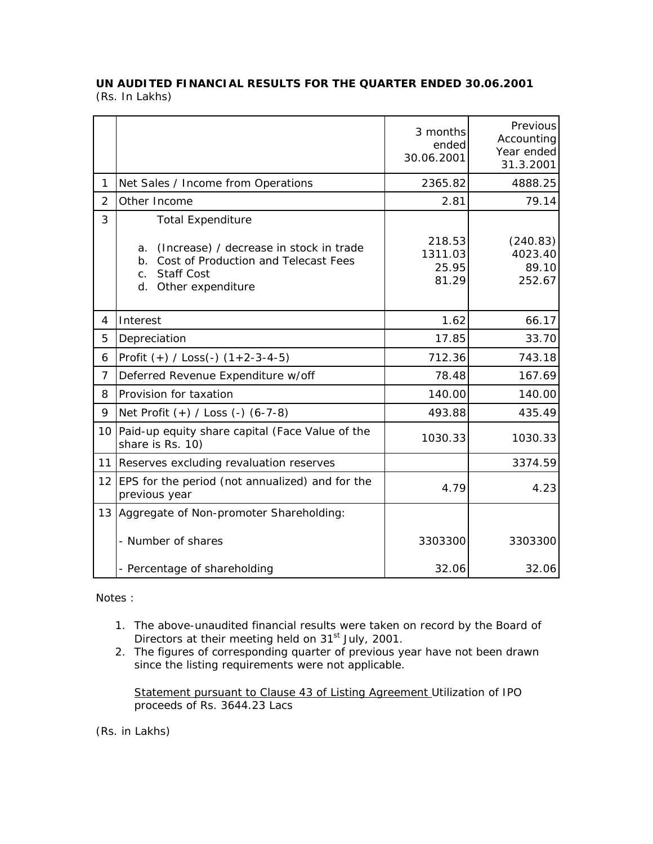## **UN AUDITED FINANCIAL RESULTS FOR THE QUARTER ENDED 30.06.2001**  (Rs. In Lakhs)

|                |                                                                                                                                                               | 3 months<br>ended<br>30.06.2001     | Previous<br>Accounting<br>Year ended<br>31.3.2001 |
|----------------|---------------------------------------------------------------------------------------------------------------------------------------------------------------|-------------------------------------|---------------------------------------------------|
| 1              | Net Sales / Income from Operations                                                                                                                            | 2365.82                             | 4888.25                                           |
| $\overline{2}$ | Other Income                                                                                                                                                  | 2.81                                | 79.14                                             |
| 3              | <b>Total Expenditure</b>                                                                                                                                      |                                     |                                                   |
|                | (Increase) / decrease in stock in trade<br>a.<br>Cost of Production and Telecast Fees<br>b <sub>1</sub><br><b>Staff Cost</b><br>C.<br>d.<br>Other expenditure | 218.53<br>1311.03<br>25.95<br>81.29 | (240.83)<br>4023.40<br>89.10<br>252.67            |
| 4              | Interest                                                                                                                                                      | 1.62                                | 66.17                                             |
| 5              | Depreciation                                                                                                                                                  | 17.85                               | 33.70                                             |
| 6              | Profit $(+)$ / Loss(-) $(1+2-3-4-5)$                                                                                                                          | 712.36                              | 743.18                                            |
| $\overline{7}$ | Deferred Revenue Expenditure w/off                                                                                                                            | 78.48                               | 167.69                                            |
| 8              | Provision for taxation                                                                                                                                        | 140.00                              | 140.00                                            |
| 9              | Net Profit (+) / Loss (-) (6-7-8)                                                                                                                             | 493.88                              | 435.49                                            |
| 10             | Paid-up equity share capital (Face Value of the<br>share is Rs. 10)                                                                                           | 1030.33                             | 1030.33                                           |
| 11             | Reserves excluding revaluation reserves                                                                                                                       |                                     | 3374.59                                           |
|                | 12 EPS for the period (not annualized) and for the<br>previous year                                                                                           | 4.79                                | 4.23                                              |
| 13             | Aggregate of Non-promoter Shareholding:                                                                                                                       |                                     |                                                   |
|                | - Number of shares                                                                                                                                            | 3303300                             | 3303300                                           |
|                | - Percentage of shareholding                                                                                                                                  | 32.06                               | 32.06                                             |

Notes :

- 1. The above-unaudited financial results were taken on record by the Board of Directors at their meeting held on 31<sup>st</sup> July, 2001.
- 2. The figures of corresponding quarter of previous year have not been drawn since the listing requirements were not applicable.

Statement pursuant to Clause 43 of Listing Agreement Utilization of IPO proceeds of Rs. 3644.23 Lacs

(Rs. in Lakhs)